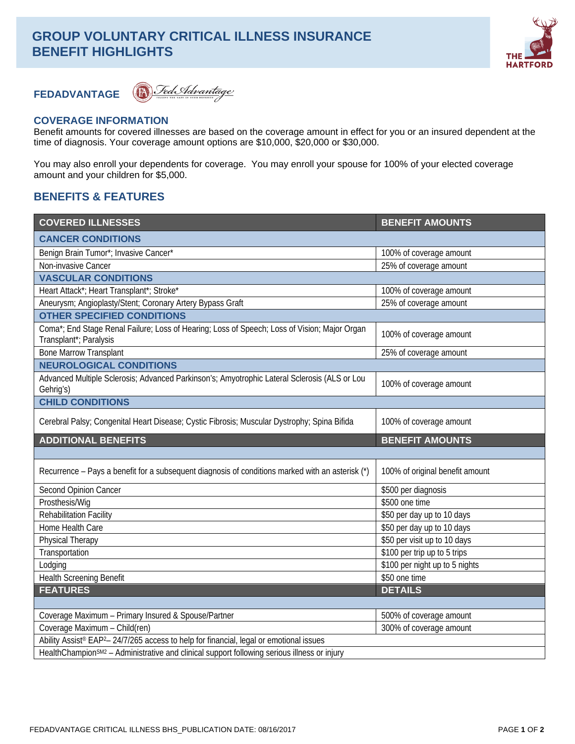# **GROUP VOLUNTARY CRITICAL ILLNESS INSURANCE BENEFIT HIGHLIGHTS**



## **FEDADVANTAGE**

D Fed Advantage

## **COVERAGE INFORMATION**

Benefit amounts for covered illnesses are based on the coverage amount in effect for you or an insured dependent at the time of diagnosis. Your coverage amount options are \$10,000, \$20,000 or \$30,000.

You may also enroll your dependents for coverage. You may enroll your spouse for 100% of your elected coverage amount and your children for \$5,000.

## **BENEFITS & FEATURES**

| <b>COVERED ILLNESSES</b>                                                                                                                                                                                      | <b>BENEFIT AMOUNTS</b>          |
|---------------------------------------------------------------------------------------------------------------------------------------------------------------------------------------------------------------|---------------------------------|
| <b>CANCER CONDITIONS</b>                                                                                                                                                                                      |                                 |
| Benign Brain Tumor*; Invasive Cancer*                                                                                                                                                                         | 100% of coverage amount         |
| Non-invasive Cancer                                                                                                                                                                                           | 25% of coverage amount          |
| <b>VASCULAR CONDITIONS</b>                                                                                                                                                                                    |                                 |
| Heart Attack*; Heart Transplant*; Stroke*                                                                                                                                                                     | 100% of coverage amount         |
| Aneurysm; Angioplasty/Stent; Coronary Artery Bypass Graft                                                                                                                                                     | 25% of coverage amount          |
| <b>OTHER SPECIFIED CONDITIONS</b>                                                                                                                                                                             |                                 |
| Coma*; End Stage Renal Failure; Loss of Hearing; Loss of Speech; Loss of Vision; Major Organ<br>Transplant*; Paralysis                                                                                        | 100% of coverage amount         |
| <b>Bone Marrow Transplant</b>                                                                                                                                                                                 | 25% of coverage amount          |
| <b>NEUROLOGICAL CONDITIONS</b>                                                                                                                                                                                |                                 |
| Advanced Multiple Sclerosis; Advanced Parkinson's; Amyotrophic Lateral Sclerosis (ALS or Lou<br>Gehrig's)                                                                                                     | 100% of coverage amount         |
| <b>CHILD CONDITIONS</b>                                                                                                                                                                                       |                                 |
| Cerebral Palsy; Congenital Heart Disease; Cystic Fibrosis; Muscular Dystrophy; Spina Bifida                                                                                                                   | 100% of coverage amount         |
| <b>ADDITIONAL BENEFITS</b>                                                                                                                                                                                    | <b>BENEFIT AMOUNTS</b>          |
|                                                                                                                                                                                                               |                                 |
|                                                                                                                                                                                                               |                                 |
| Recurrence – Pays a benefit for a subsequent diagnosis of conditions marked with an asterisk (*)                                                                                                              | 100% of original benefit amount |
| Second Opinion Cancer                                                                                                                                                                                         | \$500 per diagnosis             |
| Prosthesis/Wig                                                                                                                                                                                                | \$500 one time                  |
| <b>Rehabilitation Facility</b>                                                                                                                                                                                | \$50 per day up to 10 days      |
| Home Health Care                                                                                                                                                                                              | \$50 per day up to 10 days      |
| Physical Therapy                                                                                                                                                                                              | \$50 per visit up to 10 days    |
| Transportation                                                                                                                                                                                                | \$100 per trip up to 5 trips    |
| Lodging                                                                                                                                                                                                       | \$100 per night up to 5 nights  |
| <b>Health Screening Benefit</b>                                                                                                                                                                               | \$50 one time                   |
| <b>FEATURES</b>                                                                                                                                                                                               | <b>DETAILS</b>                  |
|                                                                                                                                                                                                               |                                 |
| Coverage Maximum - Primary Insured & Spouse/Partner                                                                                                                                                           | 500% of coverage amount         |
| Coverage Maximum - Child(ren)                                                                                                                                                                                 | 300% of coverage amount         |
| Ability Assist® EAP <sup>2</sup> -24/7/265 access to help for financial, legal or emotional issues<br>HealthChampion <sup>SM2</sup> - Administrative and clinical support following serious illness or injury |                                 |